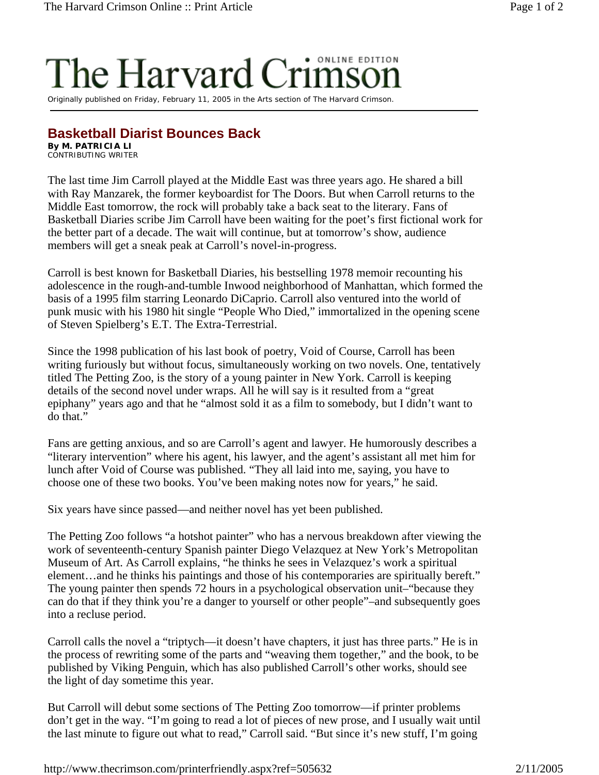## The Harvard

Originally published on Friday, February 11, 2005 in the Arts section of The Harvard Crimson.

## **Basketball Diarist Bounces Back**

**By M. PATRICIA LI** CONTRIBUTING WRITER

The last time Jim Carroll played at the Middle East was three years ago. He shared a bill with Ray Manzarek, the former keyboardist for The Doors. But when Carroll returns to the Middle East tomorrow, the rock will probably take a back seat to the literary. Fans of Basketball Diaries scribe Jim Carroll have been waiting for the poet's first fictional work for the better part of a decade. The wait will continue, but at tomorrow's show, audience members will get a sneak peak at Carroll's novel-in-progress.

Carroll is best known for Basketball Diaries, his bestselling 1978 memoir recounting his adolescence in the rough-and-tumble Inwood neighborhood of Manhattan, which formed the basis of a 1995 film starring Leonardo DiCaprio. Carroll also ventured into the world of punk music with his 1980 hit single "People Who Died," immortalized in the opening scene of Steven Spielberg's E.T. The Extra-Terrestrial.

Since the 1998 publication of his last book of poetry, Void of Course, Carroll has been writing furiously but without focus, simultaneously working on two novels. One, tentatively titled The Petting Zoo, is the story of a young painter in New York. Carroll is keeping details of the second novel under wraps. All he will say is it resulted from a "great epiphany" years ago and that he "almost sold it as a film to somebody, but I didn't want to do that."

Fans are getting anxious, and so are Carroll's agent and lawyer. He humorously describes a "literary intervention" where his agent, his lawyer, and the agent's assistant all met him for lunch after Void of Course was published. "They all laid into me, saying, you have to choose one of these two books. You've been making notes now for years," he said.

Six years have since passed—and neither novel has yet been published.

The Petting Zoo follows "a hotshot painter" who has a nervous breakdown after viewing the work of seventeenth-century Spanish painter Diego Velazquez at New York's Metropolitan Museum of Art. As Carroll explains, "he thinks he sees in Velazquez's work a spiritual element…and he thinks his paintings and those of his contemporaries are spiritually bereft." The young painter then spends 72 hours in a psychological observation unit–"because they can do that if they think you're a danger to yourself or other people"–and subsequently goes into a recluse period.

Carroll calls the novel a "triptych—it doesn't have chapters, it just has three parts." He is in the process of rewriting some of the parts and "weaving them together," and the book, to be published by Viking Penguin, which has also published Carroll's other works, should see the light of day sometime this year.

But Carroll will debut some sections of The Petting Zoo tomorrow—if printer problems don't get in the way. "I'm going to read a lot of pieces of new prose, and I usually wait until the last minute to figure out what to read," Carroll said. "But since it's new stuff, I'm going

http://www.thecrimson.com/printerfriendly.aspx?ref=505632 2/11/2005